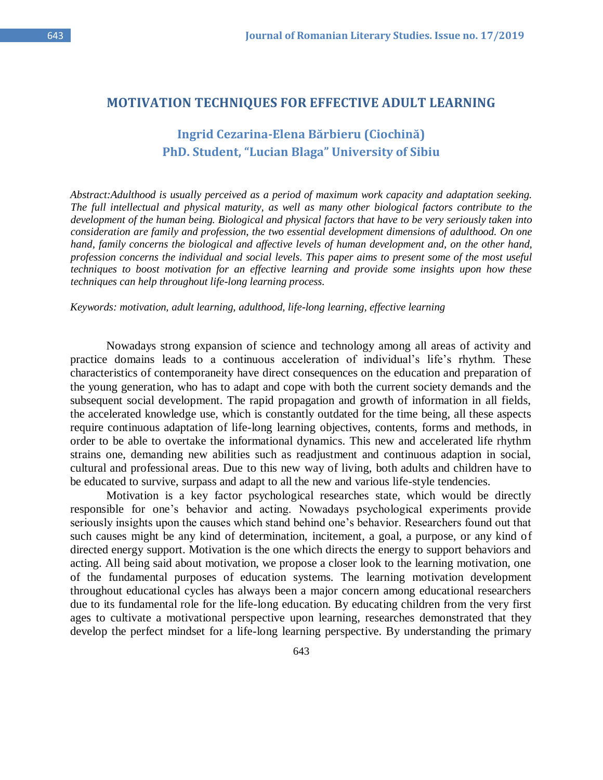## **MOTIVATION TECHNIQUES FOR EFFECTIVE ADULT LEARNING**

## **Ingrid Cezarina-Elena Bărbieru (Ciochină) PhD. Student, "Lucian Blaga" University of Sibiu**

*Abstract:Adulthood is usually perceived as a period of maximum work capacity and adaptation seeking. The full intellectual and physical maturity, as well as many other biological factors contribute to the development of the human being. Biological and physical factors that have to be very seriously taken into consideration are family and profession, the two essential development dimensions of adulthood. On one hand, family concerns the biological and affective levels of human development and, on the other hand, profession concerns the individual and social levels. This paper aims to present some of the most useful techniques to boost motivation for an effective learning and provide some insights upon how these techniques can help throughout life-long learning process.* 

## *Keywords: motivation, adult learning, adulthood, life-long learning, effective learning*

Nowadays strong expansion of science and technology among all areas of activity and practice domains leads to a continuous acceleration of individual's life's rhythm. These characteristics of contemporaneity have direct consequences on the education and preparation of the young generation, who has to adapt and cope with both the current society demands and the subsequent social development. The rapid propagation and growth of information in all fields, the accelerated knowledge use, which is constantly outdated for the time being, all these aspects require continuous adaptation of life-long learning objectives, contents, forms and methods, in order to be able to overtake the informational dynamics. This new and accelerated life rhythm strains one, demanding new abilities such as readjustment and continuous adaption in social, cultural and professional areas. Due to this new way of living, both adults and children have to be educated to survive, surpass and adapt to all the new and various life-style tendencies.

Motivation is a key factor psychological researches state, which would be directly responsible for one's behavior and acting. Nowadays psychological experiments provide seriously insights upon the causes which stand behind one's behavior. Researchers found out that such causes might be any kind of determination, incitement, a goal, a purpose, or any kind of directed energy support. Motivation is the one which directs the energy to support behaviors and acting. All being said about motivation, we propose a closer look to the learning motivation, one of the fundamental purposes of education systems. The learning motivation development throughout educational cycles has always been a major concern among educational researchers due to its fundamental role for the life-long education. By educating children from the very first ages to cultivate a motivational perspective upon learning, researches demonstrated that they develop the perfect mindset for a life-long learning perspective. By understanding the primary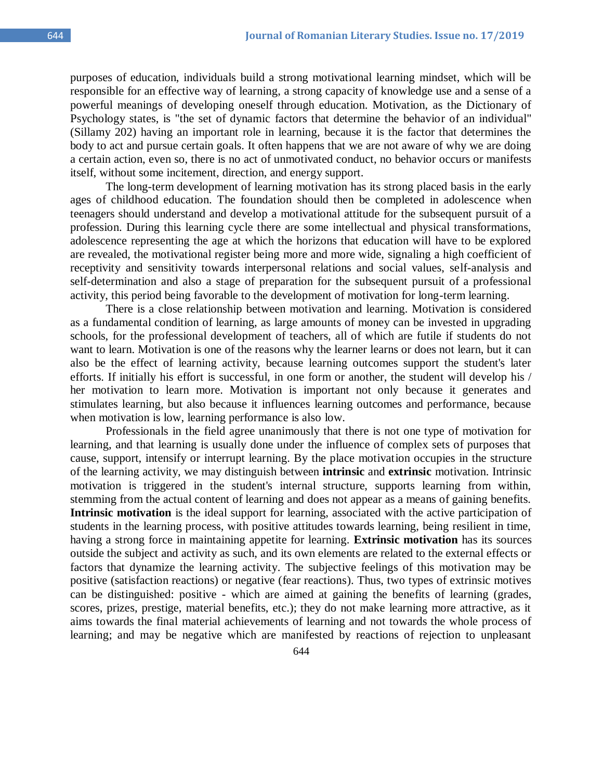purposes of education, individuals build a strong motivational learning mindset, which will be responsible for an effective way of learning, a strong capacity of knowledge use and a sense of a powerful meanings of developing oneself through education. Motivation, as the Dictionary of Psychology states, is "the set of dynamic factors that determine the behavior of an individual" (Sillamy 202) having an important role in learning, because it is the factor that determines the body to act and pursue certain goals. It often happens that we are not aware of why we are doing a certain action, even so, there is no act of unmotivated conduct, no behavior occurs or manifests itself, without some incitement, direction, and energy support.

The long-term development of learning motivation has its strong placed basis in the early ages of childhood education. The foundation should then be completed in adolescence when teenagers should understand and develop a motivational attitude for the subsequent pursuit of a profession. During this learning cycle there are some intellectual and physical transformations, adolescence representing the age at which the horizons that education will have to be explored are revealed, the motivational register being more and more wide, signaling a high coefficient of receptivity and sensitivity towards interpersonal relations and social values, self-analysis and self-determination and also a stage of preparation for the subsequent pursuit of a professional activity, this period being favorable to the development of motivation for long-term learning.

There is a close relationship between motivation and learning. Motivation is considered as a fundamental condition of learning, as large amounts of money can be invested in upgrading schools, for the professional development of teachers, all of which are futile if students do not want to learn. Motivation is one of the reasons why the learner learns or does not learn, but it can also be the effect of learning activity, because learning outcomes support the student's later efforts. If initially his effort is successful, in one form or another, the student will develop his / her motivation to learn more. Motivation is important not only because it generates and stimulates learning, but also because it influences learning outcomes and performance, because when motivation is low, learning performance is also low.

Professionals in the field agree unanimously that there is not one type of motivation for learning, and that learning is usually done under the influence of complex sets of purposes that cause, support, intensify or interrupt learning. By the place motivation occupies in the structure of the learning activity, we may distinguish between **intrinsic** and **extrinsic** motivation. Intrinsic motivation is triggered in the student's internal structure, supports learning from within, stemming from the actual content of learning and does not appear as a means of gaining benefits. **Intrinsic motivation** is the ideal support for learning, associated with the active participation of students in the learning process, with positive attitudes towards learning, being resilient in time, having a strong force in maintaining appetite for learning. **Extrinsic motivation** has its sources outside the subject and activity as such, and its own elements are related to the external effects or factors that dynamize the learning activity. The subjective feelings of this motivation may be positive (satisfaction reactions) or negative (fear reactions). Thus, two types of extrinsic motives can be distinguished: positive - which are aimed at gaining the benefits of learning (grades, scores, prizes, prestige, material benefits, etc.); they do not make learning more attractive, as it aims towards the final material achievements of learning and not towards the whole process of learning; and may be negative which are manifested by reactions of rejection to unpleasant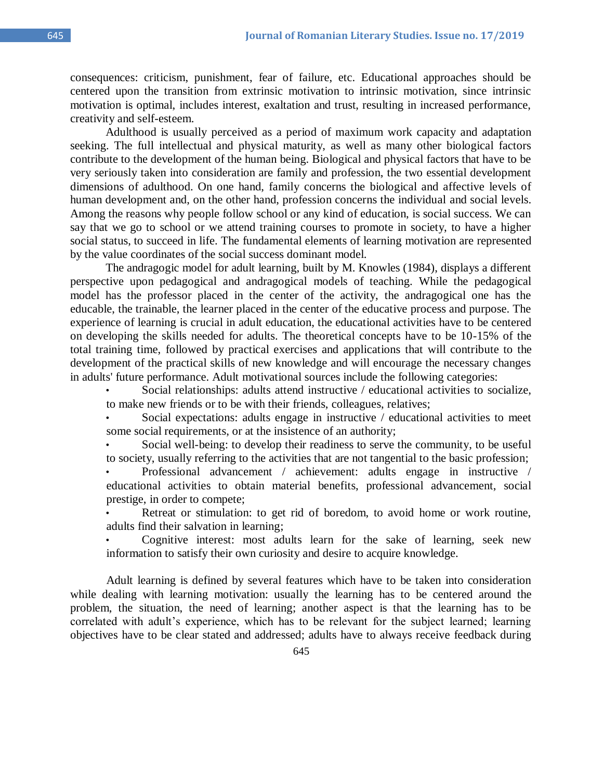consequences: criticism, punishment, fear of failure, etc. Educational approaches should be centered upon the transition from extrinsic motivation to intrinsic motivation, since intrinsic motivation is optimal, includes interest, exaltation and trust, resulting in increased performance, creativity and self-esteem.

Adulthood is usually perceived as a period of maximum work capacity and adaptation seeking. The full intellectual and physical maturity, as well as many other biological factors contribute to the development of the human being. Biological and physical factors that have to be very seriously taken into consideration are family and profession, the two essential development dimensions of adulthood. On one hand, family concerns the biological and affective levels of human development and, on the other hand, profession concerns the individual and social levels. Among the reasons why people follow school or any kind of education, is social success. We can say that we go to school or we attend training courses to promote in society, to have a higher social status, to succeed in life. The fundamental elements of learning motivation are represented by the value coordinates of the social success dominant model.

The andragogic model for adult learning, built by M. Knowles (1984), displays a different perspective upon pedagogical and andragogical models of teaching. While the pedagogical model has the professor placed in the center of the activity, the andragogical one has the educable, the trainable, the learner placed in the center of the educative process and purpose. The experience of learning is crucial in adult education, the educational activities have to be centered on developing the skills needed for adults. The theoretical concepts have to be 10-15% of the total training time, followed by practical exercises and applications that will contribute to the development of the practical skills of new knowledge and will encourage the necessary changes in adults' future performance. Adult motivational sources include the following categories:

Social relationships: adults attend instructive / educational activities to socialize, to make new friends or to be with their friends, colleagues, relatives;

Social expectations: adults engage in instructive / educational activities to meet some social requirements, or at the insistence of an authority;

Social well-being: to develop their readiness to serve the community, to be useful to society, usually referring to the activities that are not tangential to the basic profession;

• Professional advancement / achievement: adults engage in instructive / educational activities to obtain material benefits, professional advancement, social prestige, in order to compete;

Retreat or stimulation: to get rid of boredom, to avoid home or work routine, adults find their salvation in learning;

• Cognitive interest: most adults learn for the sake of learning, seek new information to satisfy their own curiosity and desire to acquire knowledge.

Adult learning is defined by several features which have to be taken into consideration while dealing with learning motivation: usually the learning has to be centered around the problem, the situation, the need of learning; another aspect is that the learning has to be correlated with adult's experience, which has to be relevant for the subject learned; learning objectives have to be clear stated and addressed; adults have to always receive feedback during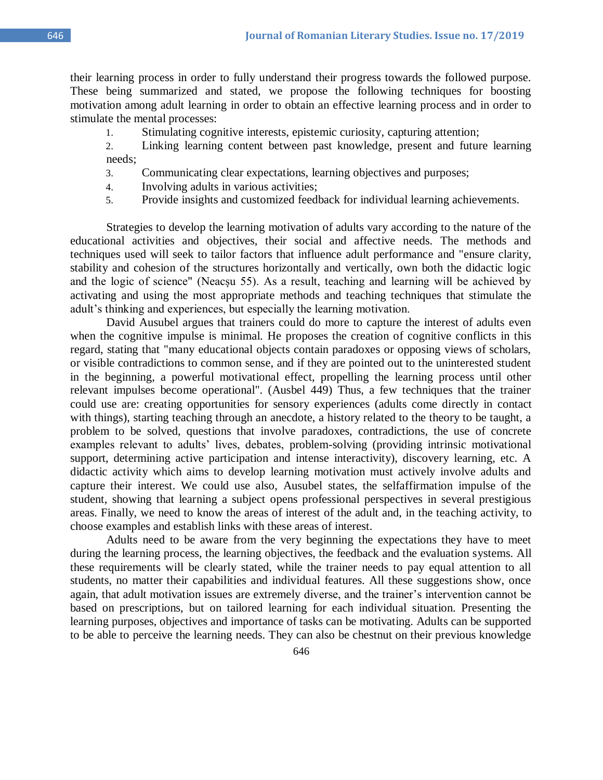their learning process in order to fully understand their progress towards the followed purpose. These being summarized and stated, we propose the following techniques for boosting motivation among adult learning in order to obtain an effective learning process and in order to stimulate the mental processes:

1. Stimulating cognitive interests, epistemic curiosity, capturing attention;

2. Linking learning content between past knowledge, present and future learning needs;

- 3. Communicating clear expectations, learning objectives and purposes;
- 4. Involving adults in various activities;
- 5. Provide insights and customized feedback for individual learning achievements.

Strategies to develop the learning motivation of adults vary according to the nature of the educational activities and objectives, their social and affective needs. The methods and techniques used will seek to tailor factors that influence adult performance and "ensure clarity, stability and cohesion of the structures horizontally and vertically, own both the didactic logic and the logic of science" (Neacșu 55). As a result, teaching and learning will be achieved by activating and using the most appropriate methods and teaching techniques that stimulate the adult's thinking and experiences, but especially the learning motivation.

David Ausubel argues that trainers could do more to capture the interest of adults even when the cognitive impulse is minimal. He proposes the creation of cognitive conflicts in this regard, stating that "many educational objects contain paradoxes or opposing views of scholars, or visible contradictions to common sense, and if they are pointed out to the uninterested student in the beginning, a powerful motivational effect, propelling the learning process until other relevant impulses become operational". (Ausbel 449) Thus, a few techniques that the trainer could use are: creating opportunities for sensory experiences (adults come directly in contact with things), starting teaching through an anecdote, a history related to the theory to be taught, a problem to be solved, questions that involve paradoxes, contradictions, the use of concrete examples relevant to adults' lives, debates, problem-solving (providing intrinsic motivational support, determining active participation and intense interactivity), discovery learning, etc. A didactic activity which aims to develop learning motivation must actively involve adults and capture their interest. We could use also, Ausubel states, the selfaffirmation impulse of the student, showing that learning a subject opens professional perspectives in several prestigious areas. Finally, we need to know the areas of interest of the adult and, in the teaching activity, to choose examples and establish links with these areas of interest.

Adults need to be aware from the very beginning the expectations they have to meet during the learning process, the learning objectives, the feedback and the evaluation systems. All these requirements will be clearly stated, while the trainer needs to pay equal attention to all students, no matter their capabilities and individual features. All these suggestions show, once again, that adult motivation issues are extremely diverse, and the trainer's intervention cannot be based on prescriptions, but on tailored learning for each individual situation. Presenting the learning purposes, objectives and importance of tasks can be motivating. Adults can be supported to be able to perceive the learning needs. They can also be chestnut on their previous knowledge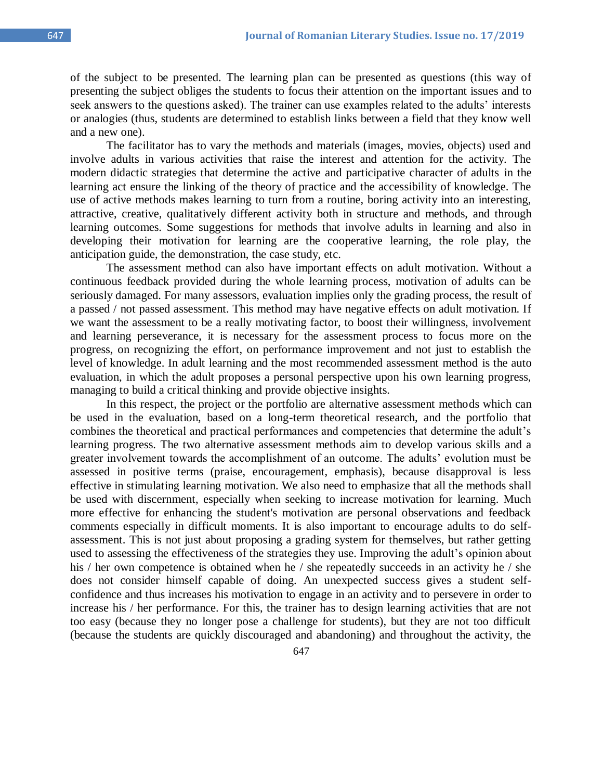and a new one). The facilitator has to vary the methods and materials (images, movies, objects) used and involve adults in various activities that raise the interest and attention for the activity. The modern didactic strategies that determine the active and participative character of adults in the learning act ensure the linking of the theory of practice and the accessibility of knowledge. The use of active methods makes learning to turn from a routine, boring activity into an interesting, attractive, creative, qualitatively different activity both in structure and methods, and through learning outcomes. Some suggestions for methods that involve adults in learning and also in developing their motivation for learning are the cooperative learning, the role play, the anticipation guide, the demonstration, the case study, etc.

or analogies (thus, students are determined to establish links between a field that they know well

The assessment method can also have important effects on adult motivation. Without a continuous feedback provided during the whole learning process, motivation of adults can be seriously damaged. For many assessors, evaluation implies only the grading process, the result of a passed / not passed assessment. This method may have negative effects on adult motivation. If we want the assessment to be a really motivating factor, to boost their willingness, involvement and learning perseverance, it is necessary for the assessment process to focus more on the progress, on recognizing the effort, on performance improvement and not just to establish the level of knowledge. In adult learning and the most recommended assessment method is the auto evaluation, in which the adult proposes a personal perspective upon his own learning progress, managing to build a critical thinking and provide objective insights.

In this respect, the project or the portfolio are alternative assessment methods which can be used in the evaluation, based on a long-term theoretical research, and the portfolio that combines the theoretical and practical performances and competencies that determine the adult's learning progress. The two alternative assessment methods aim to develop various skills and a greater involvement towards the accomplishment of an outcome. The adults' evolution must be assessed in positive terms (praise, encouragement, emphasis), because disapproval is less effective in stimulating learning motivation. We also need to emphasize that all the methods shall be used with discernment, especially when seeking to increase motivation for learning. Much more effective for enhancing the student's motivation are personal observations and feedback comments especially in difficult moments. It is also important to encourage adults to do selfassessment. This is not just about proposing a grading system for themselves, but rather getting used to assessing the effectiveness of the strategies they use. Improving the adult's opinion about his / her own competence is obtained when he / she repeatedly succeeds in an activity he / she does not consider himself capable of doing. An unexpected success gives a student selfconfidence and thus increases his motivation to engage in an activity and to persevere in order to increase his / her performance. For this, the trainer has to design learning activities that are not too easy (because they no longer pose a challenge for students), but they are not too difficult (because the students are quickly discouraged and abandoning) and throughout the activity, the